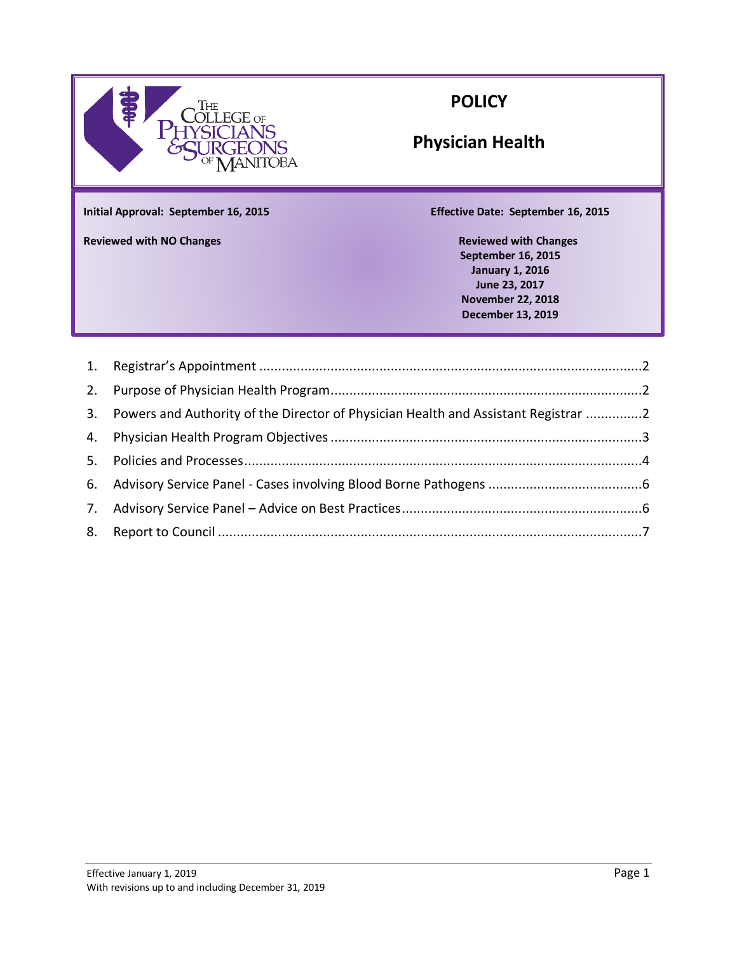

## **POLICY**

# **Physician Health**

**Initial Approval: September 16, 2015 Effective Date: September 16, 2015**

**Appeal Guidelines Reviewed with NO Changes Reviewed with Changes**

**September 16, 2015 January 1, 2016 June 23, 2017 November 22, 2018 December 13, 2019**

| 3. Powers and Authority of the Director of Physician Health and Assistant Registrar 2 |  |
|---------------------------------------------------------------------------------------|--|
|                                                                                       |  |
|                                                                                       |  |
|                                                                                       |  |
|                                                                                       |  |
|                                                                                       |  |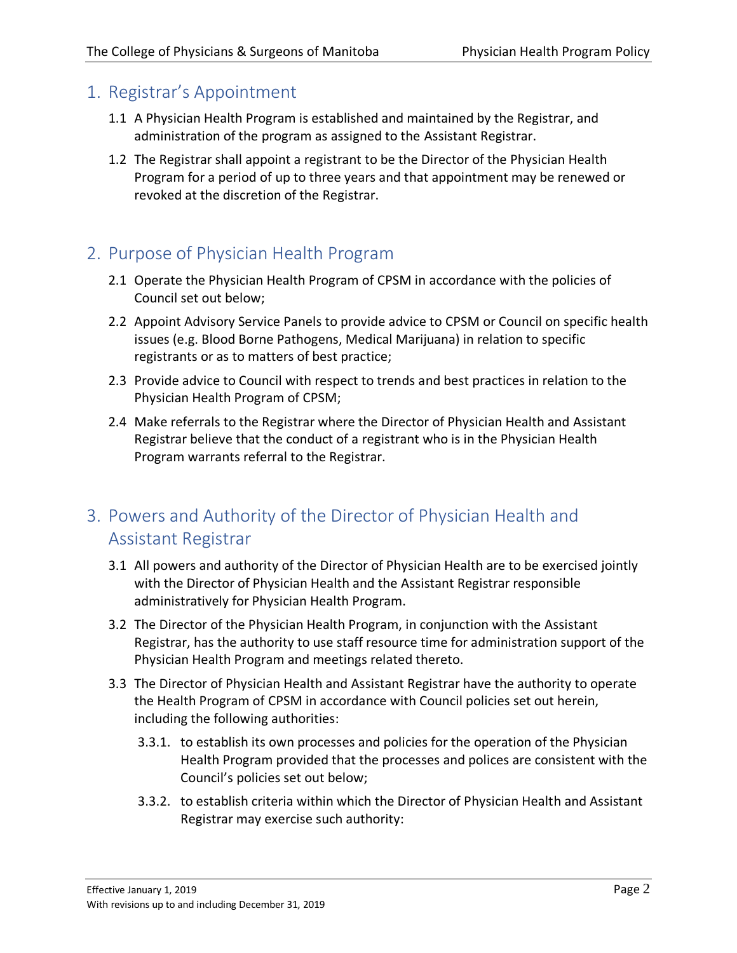#### <span id="page-1-0"></span>1. Registrar's Appointment

- 1.1 A Physician Health Program is established and maintained by the Registrar, and administration of the program as assigned to the Assistant Registrar.
- 1.2 The Registrar shall appoint a registrant to be the Director of the Physician Health Program for a period of up to three years and that appointment may be renewed or revoked at the discretion of the Registrar.

### <span id="page-1-1"></span>2. Purpose of Physician Health Program

- 2.1 Operate the Physician Health Program of CPSM in accordance with the policies of Council set out below;
- 2.2 Appoint Advisory Service Panels to provide advice to CPSM or Council on specific health issues (e.g. Blood Borne Pathogens, Medical Marijuana) in relation to specific registrants or as to matters of best practice;
- 2.3 Provide advice to Council with respect to trends and best practices in relation to the Physician Health Program of CPSM;
- 2.4 Make referrals to the Registrar where the Director of Physician Health and Assistant Registrar believe that the conduct of a registrant who is in the Physician Health Program warrants referral to the Registrar.

### <span id="page-1-2"></span>3. Powers and Authority of the Director of Physician Health and Assistant Registrar

- 3.1 All powers and authority of the Director of Physician Health are to be exercised jointly with the Director of Physician Health and the Assistant Registrar responsible administratively for Physician Health Program.
- 3.2 The Director of the Physician Health Program, in conjunction with the Assistant Registrar, has the authority to use staff resource time for administration support of the Physician Health Program and meetings related thereto.
- 3.3 The Director of Physician Health and Assistant Registrar have the authority to operate the Health Program of CPSM in accordance with Council policies set out herein, including the following authorities:
	- 3.3.1. to establish its own processes and policies for the operation of the Physician Health Program provided that the processes and polices are consistent with the Council's policies set out below;
	- 3.3.2. to establish criteria within which the Director of Physician Health and Assistant Registrar may exercise such authority: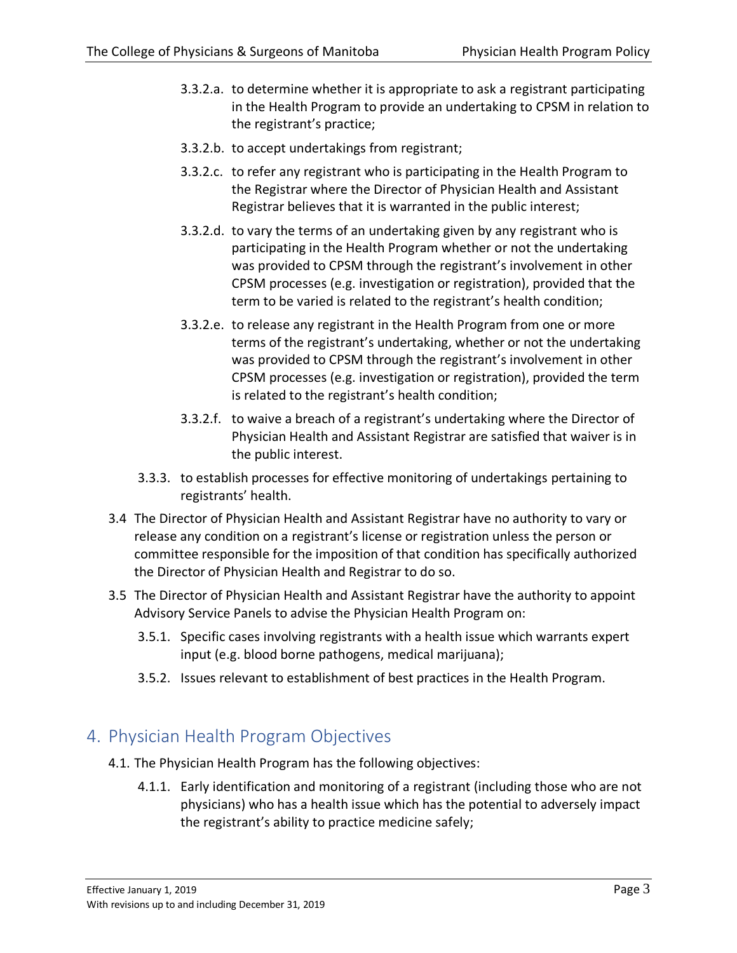- 3.3.2.a. to determine whether it is appropriate to ask a registrant participating in the Health Program to provide an undertaking to CPSM in relation to the registrant's practice;
- 3.3.2.b. to accept undertakings from registrant;
- 3.3.2.c. to refer any registrant who is participating in the Health Program to the Registrar where the Director of Physician Health and Assistant Registrar believes that it is warranted in the public interest;
- 3.3.2.d. to vary the terms of an undertaking given by any registrant who is participating in the Health Program whether or not the undertaking was provided to CPSM through the registrant's involvement in other CPSM processes (e.g. investigation or registration), provided that the term to be varied is related to the registrant's health condition;
- 3.3.2.e. to release any registrant in the Health Program from one or more terms of the registrant's undertaking, whether or not the undertaking was provided to CPSM through the registrant's involvement in other CPSM processes (e.g. investigation or registration), provided the term is related to the registrant's health condition;
- 3.3.2.f. to waive a breach of a registrant's undertaking where the Director of Physician Health and Assistant Registrar are satisfied that waiver is in the public interest.
- 3.3.3. to establish processes for effective monitoring of undertakings pertaining to registrants' health.
- 3.4 The Director of Physician Health and Assistant Registrar have no authority to vary or release any condition on a registrant's license or registration unless the person or committee responsible for the imposition of that condition has specifically authorized the Director of Physician Health and Registrar to do so.
- 3.5 The Director of Physician Health and Assistant Registrar have the authority to appoint Advisory Service Panels to advise the Physician Health Program on:
	- 3.5.1. Specific cases involving registrants with a health issue which warrants expert input (e.g. blood borne pathogens, medical marijuana);
	- 3.5.2. Issues relevant to establishment of best practices in the Health Program.

### <span id="page-2-0"></span>4. Physician Health Program Objectives

- 4.1. The Physician Health Program has the following objectives:
	- 4.1.1. Early identification and monitoring of a registrant (including those who are not physicians) who has a health issue which has the potential to adversely impact the registrant's ability to practice medicine safely;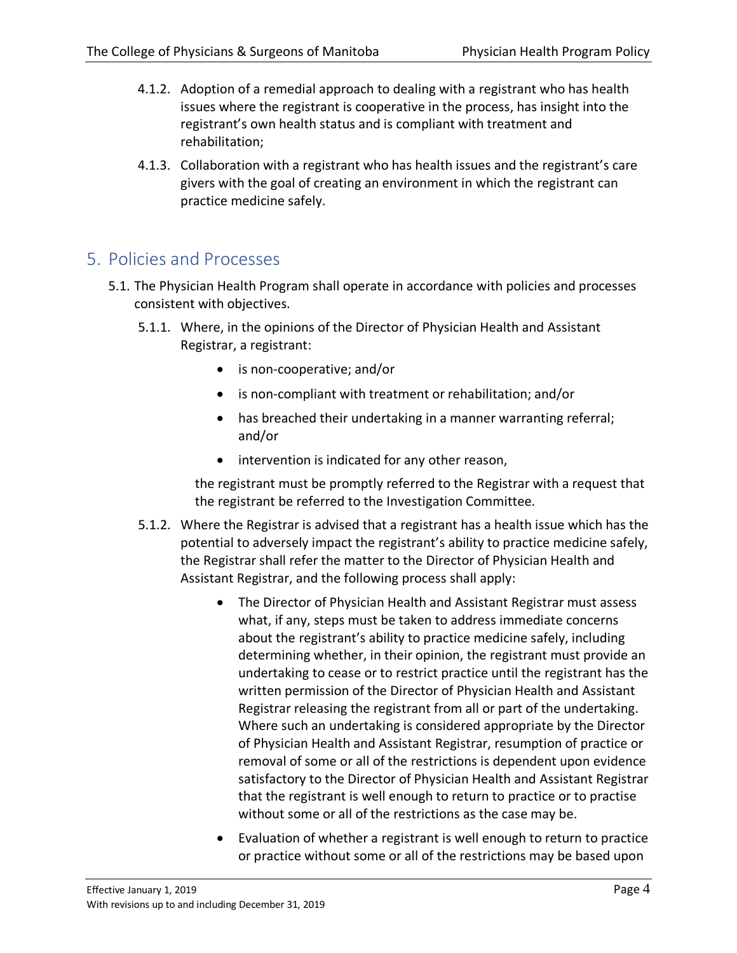- 4.1.2. Adoption of a remedial approach to dealing with a registrant who has health issues where the registrant is cooperative in the process, has insight into the registrant's own health status and is compliant with treatment and rehabilitation;
- 4.1.3. Collaboration with a registrant who has health issues and the registrant's care givers with the goal of creating an environment in which the registrant can practice medicine safely.

#### <span id="page-3-0"></span>5. Policies and Processes

- 5.1. The Physician Health Program shall operate in accordance with policies and processes consistent with objectives.
	- 5.1.1. Where, in the opinions of the Director of Physician Health and Assistant Registrar, a registrant:
		- is non-cooperative; and/or
		- is non-compliant with treatment or rehabilitation; and/or
		- has breached their undertaking in a manner warranting referral; and/or
		- intervention is indicated for any other reason,

the registrant must be promptly referred to the Registrar with a request that the registrant be referred to the Investigation Committee.

- 5.1.2. Where the Registrar is advised that a registrant has a health issue which has the potential to adversely impact the registrant's ability to practice medicine safely, the Registrar shall refer the matter to the Director of Physician Health and Assistant Registrar, and the following process shall apply:
	- The Director of Physician Health and Assistant Registrar must assess what, if any, steps must be taken to address immediate concerns about the registrant's ability to practice medicine safely, including determining whether, in their opinion, the registrant must provide an undertaking to cease or to restrict practice until the registrant has the written permission of the Director of Physician Health and Assistant Registrar releasing the registrant from all or part of the undertaking. Where such an undertaking is considered appropriate by the Director of Physician Health and Assistant Registrar, resumption of practice or removal of some or all of the restrictions is dependent upon evidence satisfactory to the Director of Physician Health and Assistant Registrar that the registrant is well enough to return to practice or to practise without some or all of the restrictions as the case may be.
	- Evaluation of whether a registrant is well enough to return to practice or practice without some or all of the restrictions may be based upon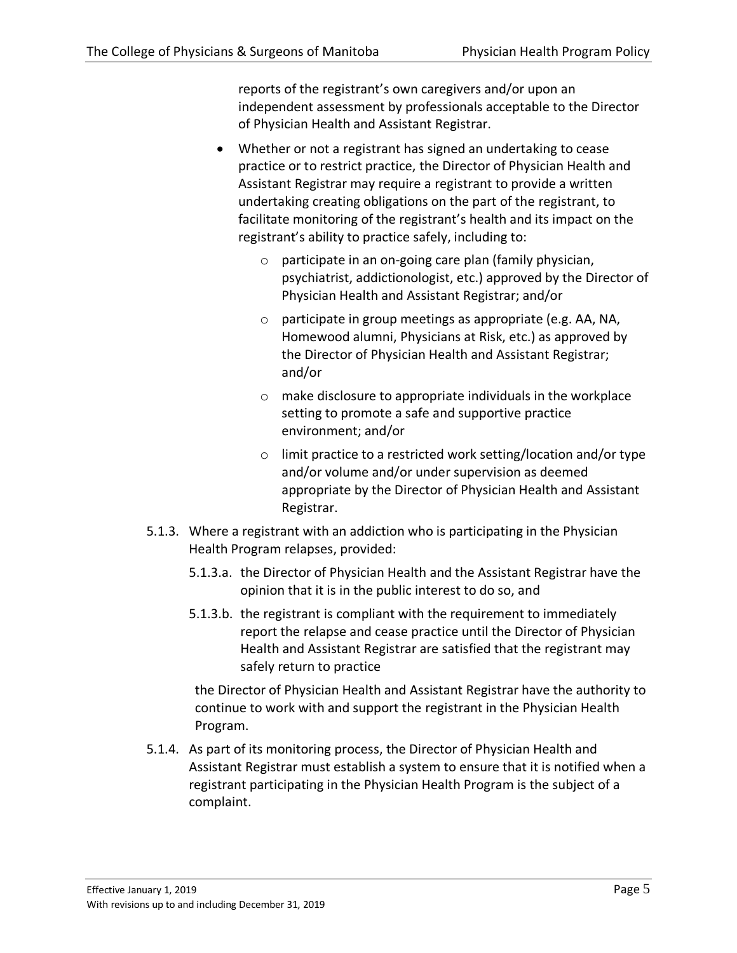reports of the registrant's own caregivers and/or upon an independent assessment by professionals acceptable to the Director of Physician Health and Assistant Registrar.

- Whether or not a registrant has signed an undertaking to cease practice or to restrict practice, the Director of Physician Health and Assistant Registrar may require a registrant to provide a written undertaking creating obligations on the part of the registrant, to facilitate monitoring of the registrant's health and its impact on the registrant's ability to practice safely, including to:
	- o participate in an on-going care plan (family physician, psychiatrist, addictionologist, etc.) approved by the Director of Physician Health and Assistant Registrar; and/or
	- o participate in group meetings as appropriate (e.g. AA, NA, Homewood alumni, Physicians at Risk, etc.) as approved by the Director of Physician Health and Assistant Registrar; and/or
	- o make disclosure to appropriate individuals in the workplace setting to promote a safe and supportive practice environment; and/or
	- o limit practice to a restricted work setting/location and/or type and/or volume and/or under supervision as deemed appropriate by the Director of Physician Health and Assistant Registrar.
- 5.1.3. Where a registrant with an addiction who is participating in the Physician Health Program relapses, provided:
	- 5.1.3.a. the Director of Physician Health and the Assistant Registrar have the opinion that it is in the public interest to do so, and
	- 5.1.3.b. the registrant is compliant with the requirement to immediately report the relapse and cease practice until the Director of Physician Health and Assistant Registrar are satisfied that the registrant may safely return to practice

the Director of Physician Health and Assistant Registrar have the authority to continue to work with and support the registrant in the Physician Health Program.

5.1.4. As part of its monitoring process, the Director of Physician Health and Assistant Registrar must establish a system to ensure that it is notified when a registrant participating in the Physician Health Program is the subject of a complaint.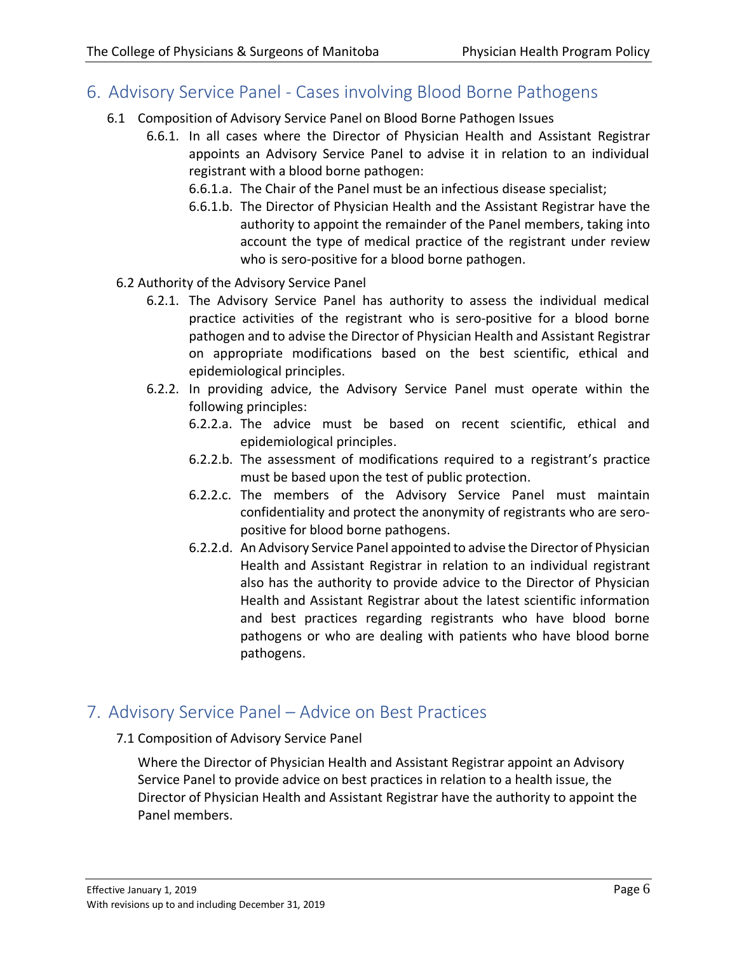#### <span id="page-5-0"></span>6. Advisory Service Panel - Cases involving Blood Borne Pathogens

- 6.1 Composition of Advisory Service Panel on Blood Borne Pathogen Issues
	- 6.6.1. In all cases where the Director of Physician Health and Assistant Registrar appoints an Advisory Service Panel to advise it in relation to an individual registrant with a blood borne pathogen:
		- 6.6.1.a. The Chair of the Panel must be an infectious disease specialist;
		- 6.6.1.b. The Director of Physician Health and the Assistant Registrar have the authority to appoint the remainder of the Panel members, taking into account the type of medical practice of the registrant under review who is sero-positive for a blood borne pathogen.
	- 6.2 Authority of the Advisory Service Panel
		- 6.2.1. The Advisory Service Panel has authority to assess the individual medical practice activities of the registrant who is sero-positive for a blood borne pathogen and to advise the Director of Physician Health and Assistant Registrar on appropriate modifications based on the best scientific, ethical and epidemiological principles.
		- 6.2.2. In providing advice, the Advisory Service Panel must operate within the following principles:
			- 6.2.2.a. The advice must be based on recent scientific, ethical and epidemiological principles.
			- 6.2.2.b. The assessment of modifications required to a registrant's practice must be based upon the test of public protection.
			- 6.2.2.c. The members of the Advisory Service Panel must maintain confidentiality and protect the anonymity of registrants who are seropositive for blood borne pathogens.
			- 6.2.2.d. An Advisory Service Panel appointed to advise the Director of Physician Health and Assistant Registrar in relation to an individual registrant also has the authority to provide advice to the Director of Physician Health and Assistant Registrar about the latest scientific information and best practices regarding registrants who have blood borne pathogens or who are dealing with patients who have blood borne pathogens.

#### <span id="page-5-1"></span>7. Advisory Service Panel – Advice on Best Practices

7.1 Composition of Advisory Service Panel

Where the Director of Physician Health and Assistant Registrar appoint an Advisory Service Panel to provide advice on best practices in relation to a health issue, the Director of Physician Health and Assistant Registrar have the authority to appoint the Panel members.